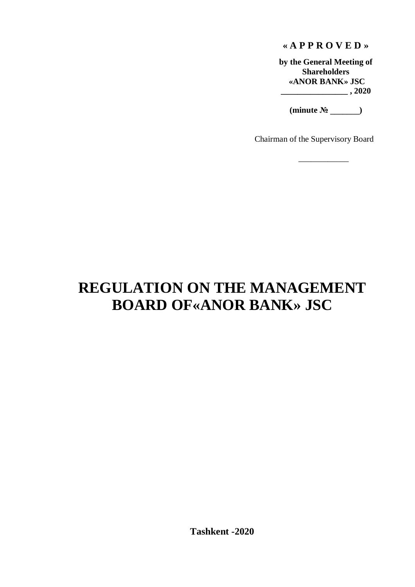## **« A P P R O V E D »**

**by the General Meeting of Shareholders «ANOR BANK» JSC \_\_\_\_\_\_\_\_\_\_\_\_\_\_\_\_ , 2020**

**(minute № \_\_\_\_\_\_\_)**

\_\_\_\_\_\_\_\_\_\_\_\_

Chairman of the Supervisory Board

# **REGULATION ON THE MANAGEMENT BOARD OF«ANOR BANK» JSC**

**Tashkent -2020**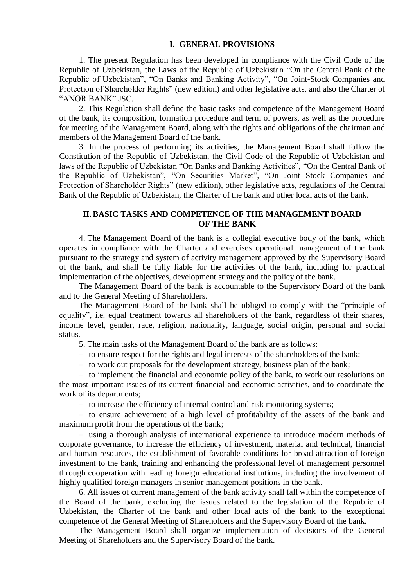#### **I. GENERAL PROVISIONS**

1. The present Regulation has been developed in compliance with the Civil Code of the Republic of Uzbekistan, the Laws of the Republic of Uzbekistan "On the Central Bank of the Republic of Uzbekistan", "On Banks and Banking Activity", "On Joint-Stock Companies and Protection of Shareholder Rights" (new edition) and other legislative acts, and also the Charter of "ANOR BANK" JSC.

2. This Regulation shall define the basic tasks and competence of the Management Board of the bank, its composition, formation procedure and term of powers, as well as the procedure for meeting of the Management Board, along with the rights and obligations of the chairman and members of the Management Board of the bank.

3. In the process of performing its activities, the Management Board shall follow the Constitution of the Republic of Uzbekistan, the Civil Code of the Republic of Uzbekistan and laws of the Republic of Uzbekistan "On Banks and Banking Activities", "On the Central Bank of the Republic of Uzbekistan", "On Securities Market", "On Joint Stock Companies and Protection of Shareholder Rights" (new edition), other legislative acts, regulations of the Central Bank of the Republic of Uzbekistan, the Charter of the bank and other local acts of the bank.

## **II. BASIC TASKS AND COMPETENCE OF THE MANAGEMENT BOARD OF THE BANK**

4. The Management Board of the bank is a collegial executive body of the bank, which operates in compliance with the Charter and exercises operational management of the bank pursuant to the strategy and system of activity management approved by the Supervisory Board of the bank, and shall be fully liable for the activities of the bank, including for practical implementation of the objectives, development strategy and the policy of the bank.

The Management Board of the bank is accountable to the Supervisory Board of the bank and to the General Meeting of Shareholders.

The Management Board of the bank shall be obliged to comply with the "principle of equality", i.e. equal treatment towards all shareholders of the bank, regardless of their shares, income level, gender, race, religion, nationality, language, social origin, personal and social status.

5. The main tasks of the Management Board of the bank are as follows:

 $-$  to ensure respect for the rights and legal interests of the shareholders of the bank;

- to work out proposals for the development strategy, business plan of the bank;

- to implement the financial and economic policy of the bank, to work out resolutions on the most important issues of its current financial and economic activities, and to coordinate the work of its departments;

- to increase the efficiency of internal control and risk monitoring systems;

- to ensure achievement of a high level of profitability of the assets of the bank and maximum profit from the operations of the bank;

- using a thorough analysis of international experience to introduce modern methods of corporate governance, to increase the efficiency of investment, material and technical, financial and human resources, the establishment of favorable conditions for broad attraction of foreign investment to the bank, training and enhancing the professional level of management personnel through cooperation with leading foreign educational institutions, including the involvement of highly qualified foreign managers in senior management positions in the bank.

6. All issues of current management of the bank activity shall fall within the competence of the Board of the bank, excluding the issues related to the legislation of the Republic of Uzbekistan, the Charter of the bank and other local acts of the bank to the exceptional competence of the General Meeting of Shareholders and the Supervisory Board of the bank.

The Management Board shall organize implementation of decisions of the General Meeting of Shareholders and the Supervisory Board of the bank.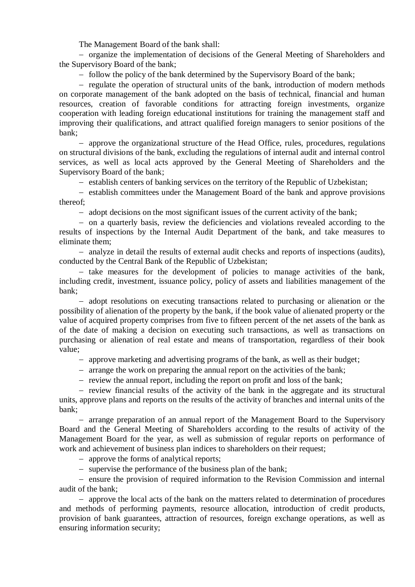The Management Board of the bank shall:

- organize the implementation of decisions of the General Meeting of Shareholders and the Supervisory Board of the bank;

- follow the policy of the bank determined by the Supervisory Board of the bank;

- regulate the operation of structural units of the bank, introduction of modern methods on corporate management of the bank adopted on the basis of technical, financial and human resources, creation of favorable conditions for attracting foreign investments, organize cooperation with leading foreign educational institutions for training the management staff and improving their qualifications, and attract qualified foreign managers to senior positions of the bank;

 approve the organizational structure of the Head Office, rules, procedures, regulations on structural divisions of the bank, excluding the regulations of internal audit and internal control services, as well as local acts approved by the General Meeting of Shareholders and the Supervisory Board of the bank;

- establish centers of banking services on the territory of the Republic of Uzbekistan;

 $\overline{e}$  establish committees under the Management Board of the bank and approve provisions thereof;

- adopt decisions on the most significant issues of the current activity of the bank;

 on a quarterly basis, review the deficiencies and violations revealed according to the results of inspections by the Internal Audit Department of the bank, and take measures to eliminate them;

 analyze in detail the results of external audit checks and reports of inspections (audits), conducted by the Central Bank of the Republic of Uzbekistan;

- take measures for the development of policies to manage activities of the bank. including credit, investment, issuance policy, policy of assets and liabilities management of the bank;

- adopt resolutions on executing transactions related to purchasing or alienation or the possibility of alienation of the property by the bank, if the book value of alienated property or the value of acquired property comprises from five to fifteen percent of the net assets of the bank as of the date of making a decision on executing such transactions, as well as transactions on purchasing or alienation of real estate and means of transportation, regardless of their book value;

approve marketing and advertising programs of the bank, as well as their budget;

- arrange the work on preparing the annual report on the activities of the bank;

- review the annual report, including the report on profit and loss of the bank;

 $-$  review financial results of the activity of the bank in the aggregate and its structural units, approve plans and reports on the results of the activity of branches and internal units of the bank;

 arrange preparation of an annual report of the Management Board to the Supervisory Board and the General Meeting of Shareholders according to the results of activity of the Management Board for the year, as well as submission of regular reports on performance of work and achievement of business plan indices to shareholders on their request;

- approve the forms of analytical reports;

- supervise the performance of the business plan of the bank;

- ensure the provision of required information to the Revision Commission and internal audit of the bank;

 approve the local acts of the bank on the matters related to determination of procedures and methods of performing payments, resource allocation, introduction of credit products, provision of bank guarantees, attraction of resources, foreign exchange operations, as well as ensuring information security;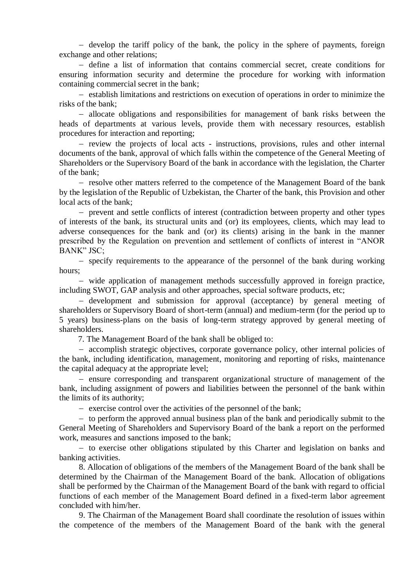$\overline{a}$  develop the tariff policy of the bank, the policy in the sphere of payments, foreign exchange and other relations;

- define a list of information that contains commercial secret, create conditions for ensuring information security and determine the procedure for working with information containing commercial secret in the bank;

 establish limitations and restrictions on execution of operations in order to minimize the risks of the bank;

 allocate obligations and responsibilities for management of bank risks between the heads of departments at various levels, provide them with necessary resources, establish procedures for interaction and reporting;

- review the projects of local acts - instructions, provisions, rules and other internal documents of the bank, approval of which falls within the competence of the General Meeting of Shareholders or the Supervisory Board of the bank in accordance with the legislation, the Charter of the bank;

- resolve other matters referred to the competence of the Management Board of the bank by the legislation of the Republic of Uzbekistan, the Charter of the bank, this Provision and other local acts of the bank;

 prevent and settle conflicts of interest (contradiction between property and other types of interests of the bank, its structural units and (or) its employees, clients, which may lead to adverse consequences for the bank and (or) its clients) arising in the bank in the manner prescribed by the Regulation on prevention and settlement of conflicts of interest in "ANOR BANK" JSC;

- specify requirements to the appearance of the personnel of the bank during working hours;

 wide application of management methods successfully approved in foreign practice, including SWOT, GAP analysis and other approaches, special software products, etc;

- development and submission for approval (acceptance) by general meeting of shareholders or Supervisory Board of short-term (annual) and medium-term (for the period up to 5 years) business-plans on the basis of long-term strategy approved by general meeting of shareholders.

7. The Management Board of the bank shall be obliged to:

 accomplish strategic objectives, corporate governance policy, other internal policies of the bank, including identification, management, monitoring and reporting of risks, maintenance the capital adequacy at the appropriate level;

- ensure corresponding and transparent organizational structure of management of the bank, including assignment of powers and liabilities between the personnel of the bank within the limits of its authority;

 $\overline{e}$  exercise control over the activities of the personnel of the bank;

 $-$  to perform the approved annual business plan of the bank and periodically submit to the General Meeting of Shareholders and Supervisory Board of the bank a report on the performed work, measures and sanctions imposed to the bank;

- to exercise other obligations stipulated by this Charter and legislation on banks and banking activities.

8. Allocation of obligations of the members of the Management Board of the bank shall be determined by the Chairman of the Management Board of the bank. Allocation of obligations shall be performed by the Chairman of the Management Board of the bank with regard to official functions of each member of the Management Board defined in a fixed-term labor agreement concluded with him/her.

9. The Chairman of the Management Board shall coordinate the resolution of issues within the competence of the members of the Management Board of the bank with the general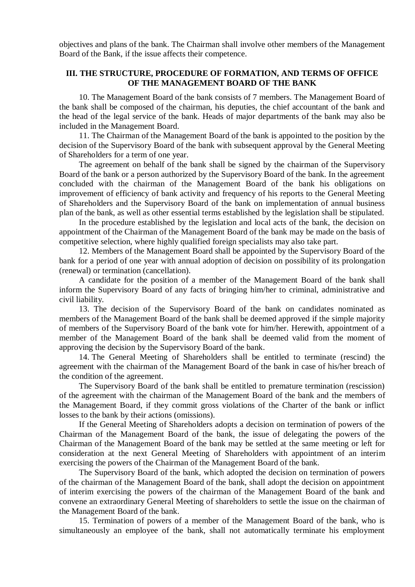objectives and plans of the bank. The Chairman shall involve other members of the Management Board of the Bank, if the issue affects their competence.

#### **III. THE STRUCTURE, PROCEDURE OF FORMATION, AND TERMS OF OFFICE OF THE MANAGEMENT BOARD OF THE BANK**

10. The Management Board of the bank consists of 7 members. The Management Board of the bank shall be composed of the chairman, his deputies, the chief accountant of the bank and the head of the legal service of the bank. Heads of major departments of the bank may also be included in the Management Board.

11. The Chairman of the Management Board of the bank is appointed to the position by the decision of the Supervisory Board of the bank with subsequent approval by the General Meeting of Shareholders for a term of one year.

The agreement on behalf of the bank shall be signed by the chairman of the Supervisory Board of the bank or a person authorized by the Supervisory Board of the bank. In the agreement concluded with the chairman of the Management Board of the bank his obligations on improvement of efficiency of bank activity and frequency of his reports to the General Meeting of Shareholders and the Supervisory Board of the bank on implementation of annual business plan of the bank, as well as other essential terms established by the legislation shall be stipulated.

In the procedure established by the legislation and local acts of the bank, the decision on appointment of the Chairman of the Management Board of the bank may be made on the basis of competitive selection, where highly qualified foreign specialists may also take part.

12. Members of the Management Board shall be appointed by the Supervisory Board of the bank for a period of one year with annual adoption of decision on possibility of its prolongation (renewal) or termination (cancellation).

A candidate for the position of a member of the Management Board of the bank shall inform the Supervisory Board of any facts of bringing him/her to criminal, administrative and civil liability.

13. The decision of the Supervisory Board of the bank on candidates nominated as members of the Management Board of the bank shall be deemed approved if the simple majority of members of the Supervisory Board of the bank vote for him/her. Herewith, appointment of a member of the Management Board of the bank shall be deemed valid from the moment of approving the decision by the Supervisory Board of the bank.

14. The General Meeting of Shareholders shall be entitled to terminate (rescind) the agreement with the chairman of the Management Board of the bank in case of his/her breach of the condition of the agreement.

The Supervisory Board of the bank shall be entitled to premature termination (rescission) of the agreement with the chairman of the Management Board of the bank and the members of the Management Board, if they commit gross violations of the Charter of the bank or inflict losses to the bank by their actions (omissions).

If the General Meeting of Shareholders adopts a decision on termination of powers of the Chairman of the Management Board of the bank, the issue of delegating the powers of the Chairman of the Management Board of the bank may be settled at the same meeting or left for consideration at the next General Meeting of Shareholders with appointment of an interim exercising the powers of the Chairman of the Management Board of the bank.

The Supervisory Board of the bank, which adopted the decision on termination of powers of the chairman of the Management Board of the bank, shall adopt the decision on appointment of interim exercising the powers of the chairman of the Management Board of the bank and convene an extraordinary General Meeting of shareholders to settle the issue on the chairman of the Management Board of the bank.

15. Termination of powers of a member of the Management Board of the bank, who is simultaneously an employee of the bank, shall not automatically terminate his employment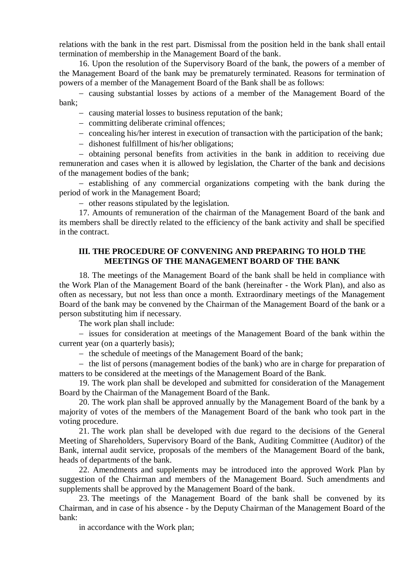relations with the bank in the rest part. Dismissal from the position held in the bank shall entail termination of membership in the Management Board of the bank.

16. Upon the resolution of the Supervisory Board of the bank, the powers of a member of the Management Board of the bank may be prematurely terminated. Reasons for termination of powers of a member of the Management Board of the Bank shall be as follows:

 causing substantial losses by actions of a member of the Management Board of the bank;

- causing material losses to business reputation of the bank:
- committing deliberate criminal offences;
- concealing his/her interest in execution of transaction with the participation of the bank;
- dishonest fulfillment of his/her obligations;

 obtaining personal benefits from activities in the bank in addition to receiving due remuneration and cases when it is allowed by legislation, the Charter of the bank and decisions of the management bodies of the bank;

- establishing of any commercial organizations competing with the bank during the period of work in the Management Board;

other reasons stipulated by the legislation.

17. Amounts of remuneration of the chairman of the Management Board of the bank and its members shall be directly related to the efficiency of the bank activity and shall be specified in the contract.

### **III. THE PROCEDURE OF CONVENING AND PREPARING TO HOLD THE MEETINGS OF THE MANAGEMENT BOARD OF THE BANK**

18. The meetings of the Management Board of the bank shall be held in compliance with the Work Plan of the Management Board of the bank (hereinafter - the Work Plan), and also as often as necessary, but not less than once a month. Extraordinary meetings of the Management Board of the bank may be convened by the Chairman of the Management Board of the bank or a person substituting him if necessary.

The work plan shall include:

- issues for consideration at meetings of the Management Board of the bank within the current year (on a quarterly basis);

- the schedule of meetings of the Management Board of the bank;

 $-$  the list of persons (management bodies of the bank) who are in charge for preparation of matters to be considered at the meetings of the Management Board of the Bank.

19. The work plan shall be developed and submitted for consideration of the Management Board by the Chairman of the Management Board of the Bank.

20. The work plan shall be approved annually by the Management Board of the bank by a majority of votes of the members of the Management Board of the bank who took part in the voting procedure.

21. The work plan shall be developed with due regard to the decisions of the General Meeting of Shareholders, Supervisory Board of the Bank, Auditing Committee (Auditor) of the Bank, internal audit service, proposals of the members of the Management Board of the bank, heads of departments of the bank.

22. Amendments and supplements may be introduced into the approved Work Plan by suggestion of the Chairman and members of the Management Board. Such amendments and supplements shall be approved by the Management Board of the bank.

23. The meetings of the Management Board of the bank shall be convened by its Chairman, and in case of his absence - by the Deputy Chairman of the Management Board of the bank:

in accordance with the Work plan;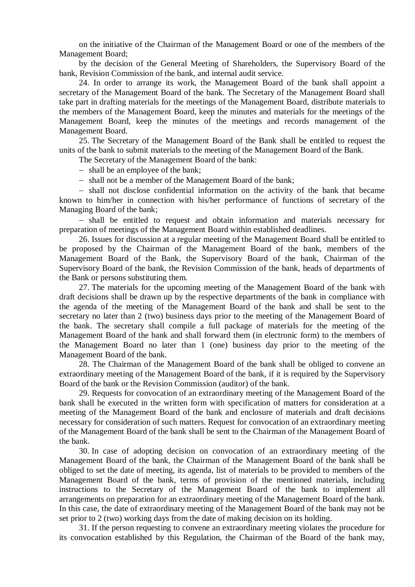on the initiative of the Chairman of the Management Board or one of the members of the Management Board;

by the decision of the General Meeting of Shareholders, the Supervisory Board of the bank, Revision Commission of the bank, and internal audit service.

24. In order to arrange its work, the Management Board of the bank shall appoint a secretary of the Management Board of the bank. The Secretary of the Management Board shall take part in drafting materials for the meetings of the Management Board, distribute materials to the members of the Management Board, keep the minutes and materials for the meetings of the Management Board, keep the minutes of the meetings and records management of the Management Board.

25. The Secretary of the Management Board of the Bank shall be entitled to request the units of the bank to submit materials to the meeting of the Management Board of the Bank.

The Secretary of the Management Board of the bank:

- shall be an employee of the bank;

- shall not be a member of the Management Board of the bank:

- shall not disclose confidential information on the activity of the bank that became known to him/her in connection with his/her performance of functions of secretary of the Managing Board of the bank;

- shall be entitled to request and obtain information and materials necessary for preparation of meetings of the Management Board within established deadlines.

26. Issues for discussion at a regular meeting of the Management Board shall be entitled to be proposed by the Chairman of the Management Board of the bank, members of the Management Board of the Bank, the Supervisory Board of the bank, Chairman of the Supervisory Board of the bank, the Revision Commission of the bank, heads of departments of the Bank or persons substituting them.

27. The materials for the upcoming meeting of the Management Board of the bank with draft decisions shall be drawn up by the respective departments of the bank in compliance with the agenda of the meeting of the Management Board of the bank and shall be sent to the secretary no later than 2 (two) business days prior to the meeting of the Management Board of the bank. The secretary shall compile a full package of materials for the meeting of the Management Board of the bank and shall forward them (in electronic form) to the members of the Management Board no later than 1 (one) business day prior to the meeting of the Management Board of the bank.

28. The Chairman of the Management Board of the bank shall be obliged to convene an extraordinary meeting of the Management Board of the bank, if it is required by the Supervisory Board of the bank or the Revision Commission (auditor) of the bank.

29. Requests for convocation of an extraordinary meeting of the Management Board of the bank shall be executed in the written form with specification of matters for consideration at a meeting of the Management Board of the bank and enclosure of materials and draft decisions necessary for consideration of such matters. Request for convocation of an extraordinary meeting of the Management Board of the bank shall be sent to the Chairman of the Management Board of the bank.

30. In case of adopting decision on convocation of an extraordinary meeting of the Management Board of the bank, the Chairman of the Management Board of the bank shall be obliged to set the date of meeting, its agenda, list of materials to be provided to members of the Management Board of the bank, terms of provision of the mentioned materials, including instructions to the Secretary of the Management Board of the bank to implement all arrangements on preparation for an extraordinary meeting of the Management Board of the bank. In this case, the date of extraordinary meeting of the Management Board of the bank may not be set prior to 2 (two) working days from the date of making decision on its holding.

31. If the person requesting to convene an extraordinary meeting violates the procedure for its convocation established by this Regulation, the Chairman of the Board of the bank may,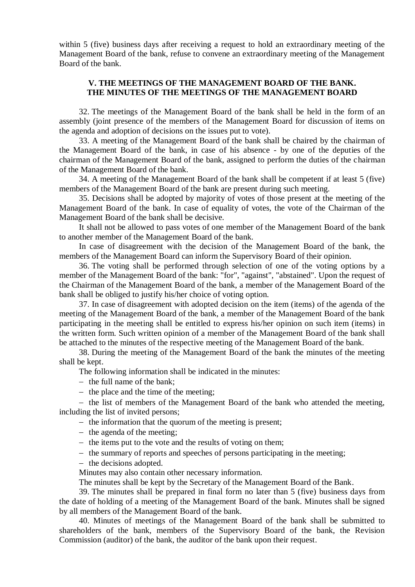within 5 (five) business days after receiving a request to hold an extraordinary meeting of the Management Board of the bank, refuse to convene an extraordinary meeting of the Management Board of the bank.

## **V. THE MEETINGS OF THE MANAGEMENT BOARD OF THE BANK. THE MINUTES OF THE MEETINGS OF THE MANAGEMENT BOARD**

32. The meetings of the Management Board of the bank shall be held in the form of an assembly (joint presence of the members of the Management Board for discussion of items on the agenda and adoption of decisions on the issues put to vote).

33. A meeting of the Management Board of the bank shall be chaired by the chairman of the Management Board of the bank, in case of his absence - by one of the deputies of the chairman of the Management Board of the bank, assigned to perform the duties of the chairman of the Management Board of the bank.

34. A meeting of the Management Board of the bank shall be competent if at least 5 (five) members of the Management Board of the bank are present during such meeting.

35. Decisions shall be adopted by majority of votes of those present at the meeting of the Management Board of the bank. In case of equality of votes, the vote of the Chairman of the Management Board of the bank shall be decisive.

It shall not be allowed to pass votes of one member of the Management Board of the bank to another member of the Management Board of the bank.

In case of disagreement with the decision of the Management Board of the bank, the members of the Management Board can inform the Supervisory Board of their opinion.

36. The voting shall be performed through selection of one of the voting options by a member of the Management Board of the bank: "for", "against", "abstained". Upon the request of the Chairman of the Management Board of the bank, a member of the Management Board of the bank shall be obliged to justify his/her choice of voting option.

37. In case of disagreement with adopted decision on the item (items) of the agenda of the meeting of the Management Board of the bank, a member of the Management Board of the bank participating in the meeting shall be entitled to express his/her opinion on such item (items) in the written form. Such written opinion of a member of the Management Board of the bank shall be attached to the minutes of the respective meeting of the Management Board of the bank.

38. During the meeting of the Management Board of the bank the minutes of the meeting shall be kept.

The following information shall be indicated in the minutes:

- $-$  the full name of the bank;
- $-$  the place and the time of the meeting;

 $-$  the list of members of the Management Board of the bank who attended the meeting, including the list of invited persons;

 $-$  the information that the quorum of the meeting is present;

- $-$  the agenda of the meeting:
- $-$  the items put to the vote and the results of voting on them;
- the summary of reports and speeches of persons participating in the meeting;
- the decisions adopted.

Minutes may also contain other necessary information.

The minutes shall be kept by the Secretary of the Management Board of the Bank.

39. The minutes shall be prepared in final form no later than 5 (five) business days from the date of holding of a meeting of the Management Board of the bank. Minutes shall be signed by all members of the Management Board of the bank.

40. Minutes of meetings of the Management Board of the bank shall be submitted to shareholders of the bank, members of the Supervisory Board of the bank, the Revision Commission (auditor) of the bank, the auditor of the bank upon their request.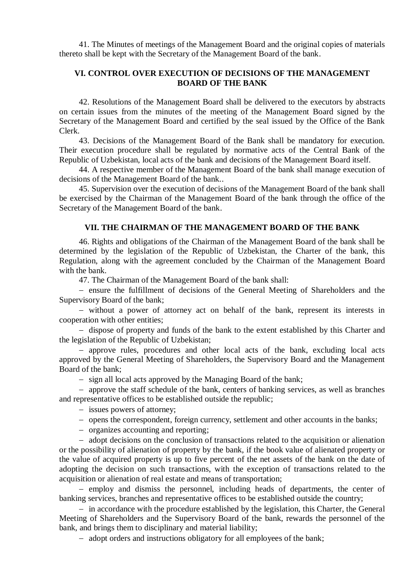41. The Minutes of meetings of the Management Board and the original copies of materials thereto shall be kept with the Secretary of the Management Board of the bank.

## **VI. CONTROL OVER EXECUTION OF DECISIONS OF THE MANAGEMENT BOARD OF THE BANK**

42. Resolutions of the Management Board shall be delivered to the executors by abstracts on certain issues from the minutes of the meeting of the Management Board signed by the Secretary of the Management Board and certified by the seal issued by the Office of the Bank Clerk.

43. Decisions of the Management Board of the Bank shall be mandatory for execution. Their execution procedure shall be regulated by normative acts of the Central Bank of the Republic of Uzbekistan, local acts of the bank and decisions of the Management Board itself.

44. A respective member of the Management Board of the bank shall manage execution of decisions of the Management Board of the bank..

45. Supervision over the execution of decisions of the Management Board of the bank shall be exercised by the Chairman of the Management Board of the bank through the office of the Secretary of the Management Board of the bank.

#### **VII. THE CHAIRMAN OF THE MANAGEMENT BOARD OF THE BANK**

46. Rights and obligations of the Chairman of the Management Board of the bank shall be determined by the legislation of the Republic of Uzbekistan, the Charter of the bank, this Regulation, along with the agreement concluded by the Chairman of the Management Board with the bank.

47. The Chairman of the Management Board of the bank shall:

- ensure the fulfillment of decisions of the General Meeting of Shareholders and the Supervisory Board of the bank;

 without a power of attorney act on behalf of the bank, represent its interests in cooperation with other entities;

- dispose of property and funds of the bank to the extent established by this Charter and the legislation of the Republic of Uzbekistan;

 approve rules, procedures and other local acts of the bank, excluding local acts approved by the General Meeting of Shareholders, the Supervisory Board and the Management Board of the bank;

- sign all local acts approved by the Managing Board of the bank;

- approve the staff schedule of the bank, centers of banking services, as well as branches and representative offices to be established outside the republic;

- issues powers of attorney;

- opens the correspondent, foreign currency, settlement and other accounts in the banks;
- organizes accounting and reporting;

- adopt decisions on the conclusion of transactions related to the acquisition or alienation or the possibility of alienation of property by the bank, if the book value of alienated property or the value of acquired property is up to five percent of the net assets of the bank on the date of adopting the decision on such transactions, with the exception of transactions related to the acquisition or alienation of real estate and means of transportation;

- employ and dismiss the personnel, including heads of departments, the center of banking services, branches and representative offices to be established outside the country;

- in accordance with the procedure established by the legislation, this Charter, the General Meeting of Shareholders and the Supervisory Board of the bank, rewards the personnel of the bank, and brings them to disciplinary and material liability;

- adopt orders and instructions obligatory for all employees of the bank;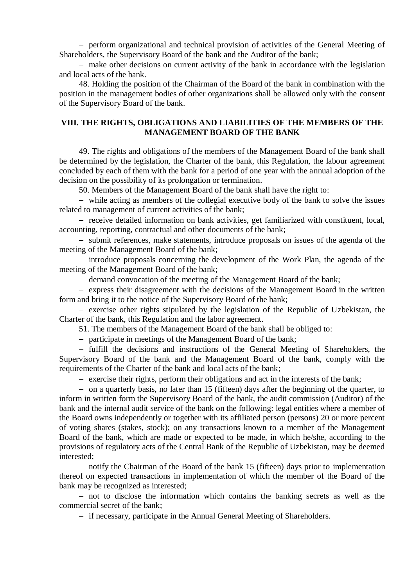perform organizational and technical provision of activities of the General Meeting of Shareholders, the Supervisory Board of the bank and the Auditor of the bank;

- make other decisions on current activity of the bank in accordance with the legislation and local acts of the bank.

48. Holding the position of the Chairman of the Board of the bank in combination with the position in the management bodies of other organizations shall be allowed only with the consent of the Supervisory Board of the bank.

## **VIII. THE RIGHTS, OBLIGATIONS AND LIABILITIES OF THE MEMBERS OF THE MANAGEMENT BOARD OF THE BANK**

49. The rights and obligations of the members of the Management Board of the bank shall be determined by the legislation, the Charter of the bank, this Regulation, the labour agreement concluded by each of them with the bank for a period of one year with the annual adoption of the decision on the possibility of its prolongation or termination.

50. Members of the Management Board of the bank shall have the right to:

 while acting as members of the collegial executive body of the bank to solve the issues related to management of current activities of the bank;

- receive detailed information on bank activities, get familiarized with constituent, local, accounting, reporting, contractual and other documents of the bank;

- submit references, make statements, introduce proposals on issues of the agenda of the meeting of the Management Board of the bank;

- introduce proposals concerning the development of the Work Plan, the agenda of the meeting of the Management Board of the bank;

- demand convocation of the meeting of the Management Board of the bank;

- express their disagreement with the decisions of the Management Board in the written form and bring it to the notice of the Supervisory Board of the bank;

 $-$  exercise other rights stipulated by the legislation of the Republic of Uzbekistan, the Charter of the bank, this Regulation and the labor agreement.

51. The members of the Management Board of the bank shall be obliged to:

participate in meetings of the Management Board of the bank;

 fulfill the decisions and instructions of the General Meeting of Shareholders, the Supervisory Board of the bank and the Management Board of the bank, comply with the requirements of the Charter of the bank and local acts of the bank;

 $\overline{e}$  exercise their rights, perform their obligations and act in the interests of the bank;

 on a quarterly basis, no later than 15 (fifteen) days after the beginning of the quarter, to inform in written form the Supervisory Board of the bank, the audit commission (Auditor) of the bank and the internal audit service of the bank on the following: legal entities where a member of the Board owns independently or together with its affiliated person (persons) 20 or more percent of voting shares (stakes, stock); on any transactions known to a member of the Management Board of the bank, which are made or expected to be made, in which he/she, according to the provisions of regulatory acts of the Central Bank of the Republic of Uzbekistan, may be deemed interested;

- notify the Chairman of the Board of the bank 15 (fifteen) days prior to implementation thereof on expected transactions in implementation of which the member of the Board of the bank may be recognized as interested;

- not to disclose the information which contains the banking secrets as well as the commercial secret of the bank;

- if necessary, participate in the Annual General Meeting of Shareholders.